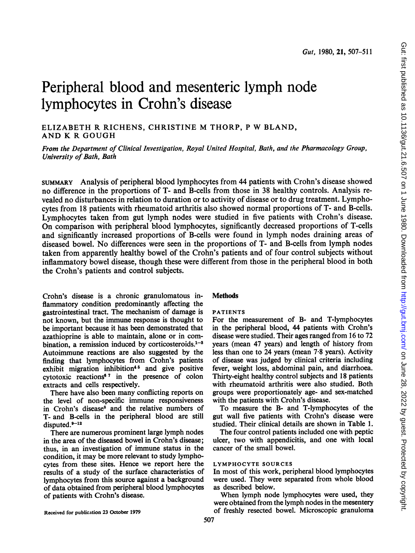# Peripheral blood and mesenteric lymph node lymphocytes in Crohn's disease

ELIZABETH R RICHENS, CHRISTINE M THORP, <sup>P</sup> W BLAND, AND K R GOUGH

From the Department of Clinical Investigation, Royal United Hospital, Bath, and the Pharmacology Group, University of Bath, Bath

suMMARY Analysis of peripheral blood lymphocytes from 44 patients with Crohn's disease showed no difference in the proportions of T- and B-cells from those in 38 healthy controls. Analysis revealed no disturbances in relation to duration or to activity of disease or to drug treatment. Lymphocytes from 18 patients with rheumatoid arthritis also showed normal proportions of T- and B-cells. Lymphocytes taken from gut lymph nodes were studied in five patients with Crohn's disease. On comparison with peripheral blood lymphocytes, significantly decreased proportions of T-cells and significantly increased proportions of B-cells were found in lymph nodes draining areas of diseased bowel. No differences were seen in the proportions of T- and B-cells from lymph nodes taken from apparently healthy bowel of the Crohn's patients and of four control subjects without inflammatory bowel disease, though these were different from those in the peripheral blood in both the Crohn's patients and control subjects.

Crohn's disease is a chronic granulomatous inflammatory condition predominantly affecting the gastrointestinal tract. The mechanism of damage is not known, but the immune response is thought to be important because it has been demonstrated that azathioprine is able to maintain, alone or in combination, a remission induced by corticosteroids. $1-3$ Autoimmune reactions are also suggested by the finding that lymphocytes from Crohn's patients exhibit migration inhibition<sup>45</sup> and give positive cytotoxic reactions<sup>67</sup> in the presence of colon extracts and cells respectively.

There have also been many conflicting reports on the level of non-specific immune responsiveness in Crohn's disease<sup>8</sup> and the relative numbers of T- and B-cells in the peripheral blood are still disputed.<sup>9-12</sup>

There are numerous prominent large lymph nodes in the area of the diseased bowel in Crohn's disease; thus, in an investigation of immune status in the condition, it may be more relevant to study lymphocytes from these sites. Hence we report here the results of a study of the surface characteristics of lymphocytes from this source against a background of data obtained from peripheral blood lymphocytes of patients with Crohn's disease.

## **Methods**

## PATIENTS

For the measurement of B- and T-lymphocytes in the peripheral blood, 44 patients with Crohn's disease were studied. Their ages ranged from 16 to 72 years (mean 47 years) and length of history from less than one to 24 years (mean 7.8 years). Activity of disease was judged by clinical criteria including fever, weight loss, abdominal pain, and diarrhoea. Thirty-eight healthy control subjects and 18 patients with rheumatoid arthritis were also studied. Both groups were proportionately age- and sex-matched with the patients with Crohn's disease.

To measure the B- and T-lymphocytes of the gut wall five patients with Crohn's disease were studied. Their clinical details are shown in Table 1.

The four control patients included one with peptic ulcer, two with appendicitis, and one with local cancer of the small bowel.

## LYMPHOCYTE SOURCES

In most of this work, peripheral blood lymphocytes were used. They were separated from whole blood as described below.

When lymph node lymphocytes were used, they were obtained from the lymph nodes in the mesentery of freshly resected bowel. Microscopic granuloma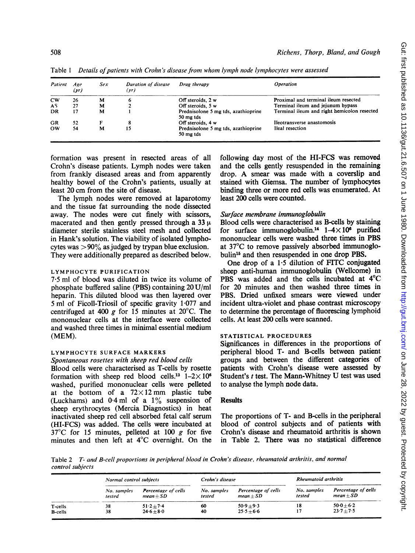| Patient   | Age<br>(yr) | Sex | Duration of disease<br>(yr) | Drug therapy                                     | <i><b>Operation</b></i>                     |
|-----------|-------------|-----|-----------------------------|--------------------------------------------------|---------------------------------------------|
| <b>CW</b> | 26          | м   | o                           | Off steroids, 2 w                                | Proximal and terminal ileum resected        |
| AS        | 27          | м   |                             | Off steroids, 5 w                                | Terminal ileum and jejunum bypass           |
| DR        | 17          | м   |                             | Prednisolone 5 mg tds, azathioprine<br>50 mg tds | Terminal ileum and right hemicolon resected |
| GR        | 52          | F   | 8                           | Off steroids, 4 w                                | Ileotransverse anastomosis                  |
| <b>OW</b> | 54          | м   | 15                          | Prednisolone 5 mg tds, azathioprine<br>50 mg tds | Ileal resection                             |

Table 1 Details of patients with Crohn's disease from whom lymph node lymphocytes were assessed

formation was present in resected areas of all Crohn's disease patients. Lymph nodes were taken from frankly diseased areas and from apparently healthy bowel of the Crohn's patients, usually at least 20 cm from the site of disease.

The lymph nodes were removed at laparotomy and the tissue fat surrounding the node dissected away. The nodes were cut finely with scissors, macerated and then gently pressed through a 33  $\mu$ diameter sterile stainless steel mesh and collected in Hank's solution. The viability of isolated lymphocytes was  $>90\%$  as judged by trypan blue exclusion. They were additionally prepared as described below.

## LYMPHOCYTE PURIFICATION

7.5 ml of blood was diluted in twice its volume of phosphate buffered saline (PBS) containing 20 U/ml heparin. This diluted blood was then layered over 5 ml of Ficoll-Triosil of specific gravity 1-077 and centrifuged at 400 g for 15 minutes at 20 $^{\circ}$ C. The mononuclear cells at the interface were collected and washed three times in minimal essential medium (MEM).

### LYMPHOCYTE SURFACE MARKERS

### Spontaneous rosettes with sheep red blood cells

Blood cells were characterised as T-cells by rosette formation with sheep red blood cells.<sup>13</sup>  $1-2\times10^6$ washed, purified mononuclear cells were pelleted at the bottom of a  $72\times12$  mm plastic tube (Luckhams) and  $0.4$  ml of a  $1\%$  suspension of sheep erythrocytes (Mercia Diagnostics) in heat inactivated sheep red cell absorbed fetal calf serum (HI-FCS) was added. The cells were incubated at  $37^{\circ}$ C for 15 minutes, pelleted at 100 g for five minutes and then left at 4°C overnight. On the following day most of the HI-FCS was removed and the cells gently resuspended in the remaining drop. A smear was made with <sup>a</sup> coverslip and stained with Giemsa. The number of lymphocytes binding three or more red cells was enumerated. At least 200 cells were counted.

## Surface membrane immunoglobulin

Blood cells were characterised as B-cells by staining for surface immunoglobulin.<sup>14</sup>  $1-4\times10^6$  purified mononuclear cells were washed three times in PBS at 37°C to remove passively absorbed immunoglobulin"6 and then resuspended in one drop PBS.

One drop of a  $1.5$  dilution of FITC conjugated sheep anti-human immunoglobulin (Wellcome) in PBS was added and the cells incubated at 4°C for 20 minutes and then washed three times in PBS. Dried unfixed smears were viewed under incident ultra-violet and phase contrast microscopy to determine the percentage of fluorescing lymphoid cells. At least 200 cells were scanned.

## STATISTICAL PROCEDURES

Significances in differences in the proportions of peripheral blood T- and B-cells between patient groups and between the different categories of patients with Crohn's disease were assessed by Student's <sup>t</sup> test. The Mann-Whitney U test was used to analyse the lymph node data.

## Results

The proportions of T- and B-cells in the peripheral blood of control subjects and of patients with Crohn's disease and rheumatoid arthritis is shown in Table 2. There was no statistical difference

Table 2 T- and B-cell proportions in peripheral blood in Crohn's disease, rheumatoid arthritis, and normal control subjects

|                 | Normal control subjects |                                           | Crohn's disease       |                                    | Rheumatoid arthritis  |                                           |
|-----------------|-------------------------|-------------------------------------------|-----------------------|------------------------------------|-----------------------|-------------------------------------------|
|                 | No. samples<br>tested   | <b>Percentage of cells</b><br>$mean + SD$ | No. samples<br>tested | Percentage of cells<br>$mean + SD$ | No. samples<br>tested | Percentage of <b>cells</b><br>$mean + SD$ |
| T-cells         | 38                      | $51.2 + 7.4$                              | 60                    | $50.9 + 9.3$                       | 18                    | $50.0 + 6.2$                              |
| <b>B</b> -cells | 38                      | $24.6 + 8.0$                              | 40                    | $25.5 + 6.6$                       | 17                    | $23.7 + 7.5$                              |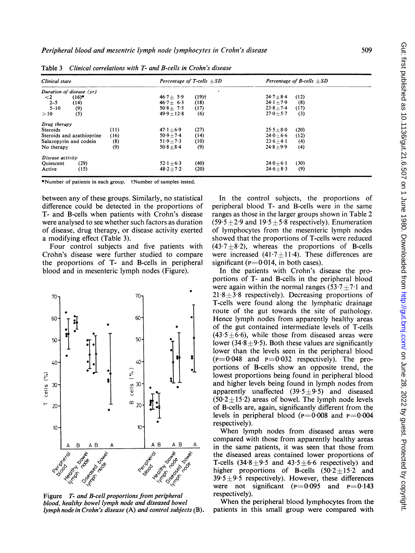| Clinical state            | Percentage of T-cells $\pm SD$ | Percentage of B-cells $+SD$ |  |  |
|---------------------------|--------------------------------|-----------------------------|--|--|
| Duration of disease (yr)  |                                |                             |  |  |
| $(16)^*$                  | $(19)$ <sup>†</sup>            | (12)                        |  |  |
| $\leq$ 2                  | $46.7 + 5.9$                   | $24.7 + 8.4$                |  |  |
| $2 - 5$                   | (18)                           | $24.1 + 7.9$                |  |  |
| (14)                      | $46.7 + 6.3$                   | (8)                         |  |  |
| $5 - 10$                  | (17)                           | $23.8 + 7.4$                |  |  |
| (9)                       | $508 + 75$                     | (17)                        |  |  |
| (5)                       | $49.9 + 12.8$                  | $27.0 + 5.7$                |  |  |
| >10                       | (6)                            | (3)                         |  |  |
| Drug therapy              |                                |                             |  |  |
| <b>Steroids</b>           | (27)                           | $25.5 + 8.0$                |  |  |
| (11)                      | $47.1 \pm 6.9$                 | (20)                        |  |  |
| (16)                      | (14)                           | $24.0 + 6.6$                |  |  |
| Steroids and azathioprine | $50.9 + 7.4$                   | (12)                        |  |  |
| Salazopyrin and codein    | (10)                           | $23.6 + 4.1$                |  |  |
| (8)                       | $51.9 + 7.3$                   | (4)                         |  |  |
| (9)                       | (9)                            | $24.8 + 9.9$                |  |  |
| No therapy                | $50.8 + 8.4$                   | (4)                         |  |  |
| Disease activity          |                                |                             |  |  |
| <b>Ouiescent</b>          | (40)                           | (30)                        |  |  |
| (29)                      | $52.1 + 6.3$                   | $24.0 + 6.1$                |  |  |
| (15)                      | (20)                           | (9)                         |  |  |
| Active                    | $48.2 + 7.2$                   | $24.6 + 8.3$                |  |  |

Table 3 Clinical correlations with T- and B-cells in Crohn's disease

\*Number of patients in each group. tNumber of samples tested.

between any of these groups. Similarly, no statistical difference could be detected in the proportions of T- and B-cells when patients with Crohn's disease were analysed to see whether such factors as duration of disease, drug therapy, or disease activity exerted a modifying effect (Table 3).

Four control subjects and five patients with Crohn's disease were further studied to compare the proportions of T- and B-cells in peripheral blood and in mesenteric lymph nodes (Figure).



Figure T- and B-cell proportions from peripheral blood, healthy bowel lymph node and diseased bowel lymph node in Crohn's disease (A) and control subjects (B).

In the control subjects, the proportions of peripheral blood T- and B-cells were in the same ranges as those in the larger groups shown in Table 2  $(59.5 \pm 2.9$  and  $19.5 \pm 5.8$  respectively). Enumeration of lymphocytes from the mesenteric lymph nodes showed that the proportions of T-cells were reduced  $(43.7 + 8.2)$ , whereas the proportions of B-cells were increased  $(41.7 \pm 11.4)$ . These differences are significant ( $p = 0.014$ , in both cases).

In the patients with Crohn's disease the proportions of T- and B-cells in the peripheral blood were again within the normal ranges  $(53.7 + 7.1$  and  $21.8+3.8$  respectively). Decreasing proportions of T-cells were found along the lymphatic drainage route of the gut towards the site of pathology. Hence lymph nodes from apparently healthy areas of the gut contained intermediate levels of T-cells  $(43.5 + 6.6)$ , while those from diseased areas were lower (34.8  $\pm$ 9.5). Both these values are significantly lower than the levels seen in the peripheral blood  $(p=0.048$  and  $p=0.032$  respectively). The proportions of B-cells show an opposite trend, the lowest proportions being found in peripheral blood and higher levels being found in lymph nodes from apparently unaffected  $(39.5\pm9.5)$  and diseased  $(50.2 \pm 15.2)$  areas of bowel. The lymph node levels of B-cells are, again, significantly different from the levels in peripheral blood ( $p=0.008$  and  $p=0.004$ respectively).

When lymph nodes from diseased areas were compared with those from apparently healthy areas in the same patients, it was seen that those from the diseased areas contained lower proportions of T-cells  $(34.8 \pm 9.5 \text{ and } 43.5 \pm 6.6 \text{ respectively})$  and higher proportions of B-cells  $(50.2 \pm 15.2)$  and  $39.5 \pm 9.5$  respectively). However, these differences were not significant ( $p=0.095$  and  $p=0.143$ respectively).

When the peripheral blood lymphocytes from the patients in this small group were compared with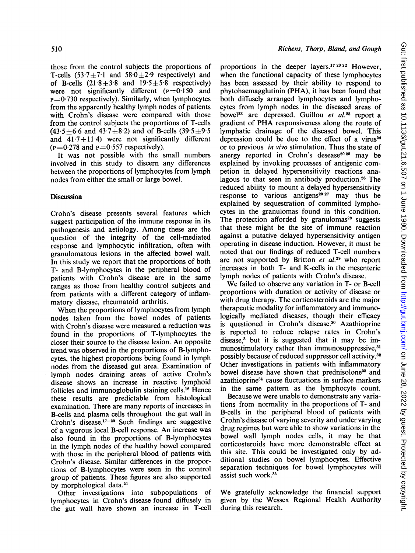those from the control subjects the proportions of T-cells  $(53.7 \pm 7.1$  and  $58.0 \pm 2.9$  respectively) and of B-cells  $(21.8 \pm 3.8 \text{ and } 19.5 \pm 5.8 \text{ respectively})$ were not significantly different  $(p=0.150$  and  $p=0.730$  respectively). Similarly, when lymphocytes from the apparently healthy lymph nodes of patients with Crohn's disease were compared with those from the control subjects the proportions of T-cells  $(43.5 \pm 6.6 \text{ and } 43.7 \pm 8.2)$  and of B-cells  $(39.5 \pm 9.5 \text{)}$ and  $41.7 \pm 11.4$ ) were not significantly different  $(p=0.278$  and  $p=0.557$  respectively).

It was not possible with the small numbers involved in this study to discern any differences between the proportions of lymphocytes from lymph nodes from either the small or large bowel.

## **Discussion**

Crohn's disease presents several features which suggest participation of the immune response in its pathogenesis and aetiology. Among these are the question of the integrity of the cell-mediated response and lymphocytic infiltration, often with granulomatous lesions in the affected bowel wall. In this study we report that the proportions of both T- and B-lymphocytes in the peripheral blood of patients with Crohn's disease are in the same ranges as those from healthy control subjects and from patients with a different category of inflammatory disease, rheumatoid arthritis.

When the proportions of lymphocytes from lymph nodes taken from the bowel nodes of patients with Crohn's disease were measured a reduction was found in the proportions of T-lymphocytes the closer their source to the disease lesion. An opposite trend was observed in the proportions of B-lymphocytes, the highest proportions being found in lymph nodes from the diseased gut area. Examination of lymph nodes draining areas of active Crohn's disease shows an increase in reactive lymphoid follicles and immunoglobulin staining cells.'6 Hence these results are predictable from histological examination. There are many reports of increases in B-cells and plasma cells throughout the gut wall in Crohn's disease.<sup>17-20</sup> Such findings are suggestive of a vigorous local B-cell response. An increase was also found in the proportions of B-lymphocytes in the lymph nodes of the healthy bowel compared with those in the peripheral blood of patients with Crohn's disease. Similar differences in the proportions of B-lymphocytes were seen in the control group of patients. These figures are also supported by morphological data.<sup>21</sup>

Other investigations into subpopulations of lymphocytes in Crohn's disease found diffusely in the gut wall have shown an increase in T-cell proportions in the deeper layers.<sup>17 20 22</sup> However, when the functional capacity of these lymphocytes has been assessed by their ability to respond to phytohaemagglutinin (PHA), it has been found that both diffusely arranged lymphocytes and lymphocytes from lymph nodes in the diseased areas of bowel<sup>23</sup> are depressed. Guillou et al.<sup>23</sup> report a gradient of PHA responsiveness along the route of lymphatic drainage of the diseased bowel. This depression could be due to the effect of a virus $24$ or to previous in vivo stimulation. Thus the state of anergy reported in Crohn's desease $20\,25$  may be explained by invoking processes of antigenic competion in delayed hypersensitivity reactions analagous to that seen in antibody production.<sup>26</sup> The reduced ability to mount a delayed hypersensitivity response to various antigens<sup>20 27</sup> may thus be explained by sequestration of committed lymphocytes in the granulomas found in this condition. The protection afforded by granulomas<sup>28</sup> suggests that these might be the site of immune reaction against a putative delayed hypersensitivity antigen operating in disease induction. However, it must be noted that our findings of reduced T-cell numbers are not supported by Britton  $et$   $al.^{29}$  who report increases in both T- and K-cells in the mesenteric lymph nodes of patients with Crohn's disease.

We failed to observe any variation in T- or B-cell proportions with duration or activity of disease or with drug therapy. The corticosteroids are the major therapeutic modality for inflammatory and immunologically mediated diseases, though their efficacy is questioned in Crohn's disease.<sup>30</sup> Azathioprine is reported to reduce relapse rates in Crohn's disease,<sup>3</sup> but it is suggested that it may be immunostimulatory rather than immunosuppressive.<sup>31</sup> possibly because of reduced suppressor cell activity.32 Other investigations in patients with inflammatory bowel disease have shown that prednisolone<sup>33</sup> and azathioprine34 cause fluctuations in surface markers in the same pattern as the lymphocyte count.

Because we were unable to demonstrate any variations from normality in the proportions of T- and B-cells in the peripheral blood of patients with Crohn's disease of varying severity and under varying drug regimes but were able to show variations in the bowel wall lymph nodes cells, it may be that corticosteroids have more demonstrable effect at this site. This could be investigated only by additional studies on bowel lymphocytes. Effective separation techniques for bowel lymphocytes will assist such work.35

We gratefully acknowledge the financial support given by the Wessex Regional Health Authority during this research.